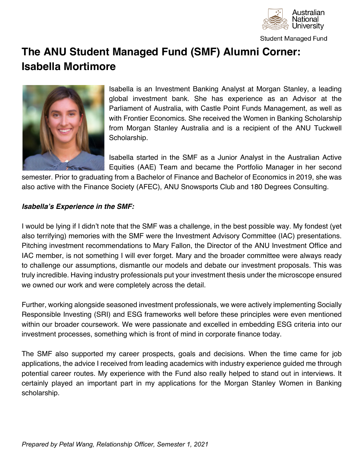

**Student Managed Fund** 

# **The ANU Student Managed Fund (SMF) Alumni Corner: Isabella Mortimore**



Isabella is an Investment Banking Analyst at Morgan Stanley, a leading global investment bank. She has experience as an Advisor at the Parliament of Australia, with Castle Point Funds Management, as well as with Frontier Economics. She received the Women in Banking Scholarship from Morgan Stanley Australia and is a recipient of the ANU Tuckwell Scholarship.

Isabella started in the SMF as a Junior Analyst in the Australian Active Equities (AAE) Team and became the Portfolio Manager in her second

semester. Prior to graduating from a Bachelor of Finance and Bachelor of Economics in 2019, she was also active with the Finance Society (AFEC), ANU Snowsports Club and 180 Degrees Consulting.

### *Isabella's Experience in the SMF:*

I would be lying if I didn't note that the SMF was a challenge, in the best possible way. My fondest (yet also terrifying) memories with the SMF were the Investment Advisory Committee (IAC) presentations. Pitching investment recommendations to Mary Fallon, the Director of the ANU Investment Office and IAC member, is not something I will ever forget. Mary and the broader committee were always ready to challenge our assumptions, dismantle our models and debate our investment proposals. This was truly incredible. Having industry professionals put your investment thesis under the microscope ensured we owned our work and were completely across the detail.

Further, working alongside seasoned investment professionals, we were actively implementing Socially Responsible Investing (SRI) and ESG frameworks well before these principles were even mentioned within our broader coursework. We were passionate and excelled in embedding ESG criteria into our investment processes, something which is front of mind in corporate finance today.

The SMF also supported my career prospects, goals and decisions. When the time came for job applications, the advice I received from leading academics with industry experience guided me through potential career routes. My experience with the Fund also really helped to stand out in interviews. It certainly played an important part in my applications for the Morgan Stanley Women in Banking scholarship.